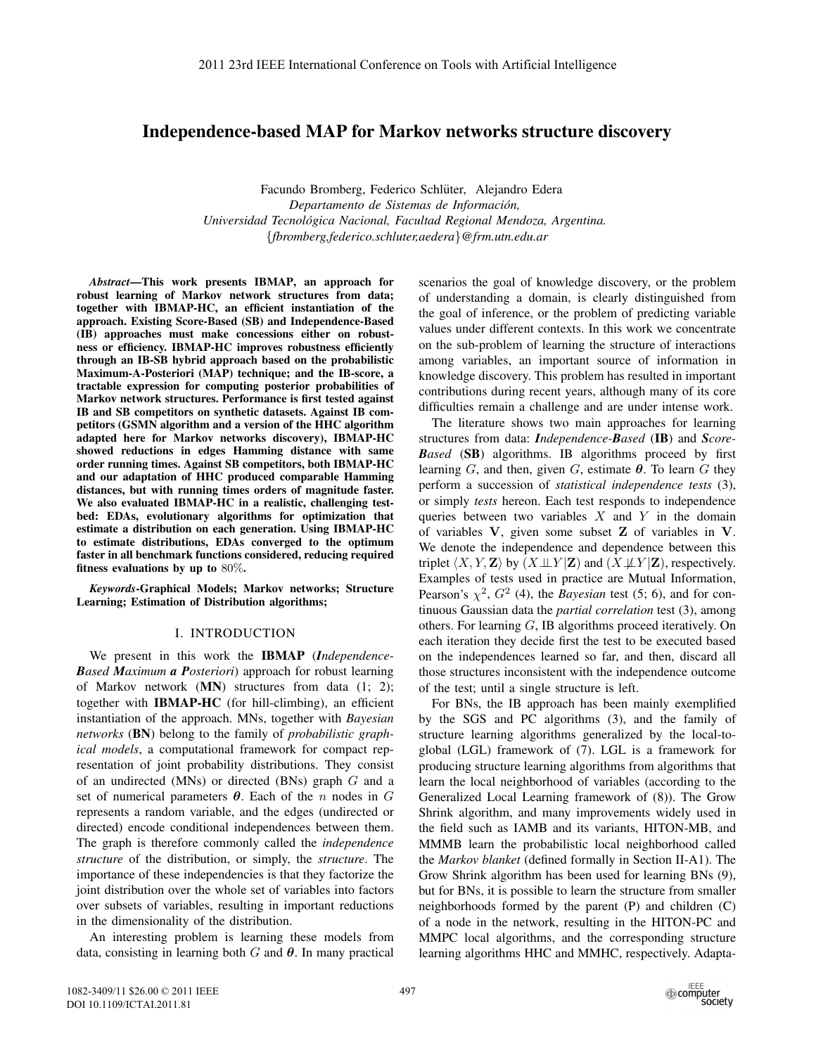# **Independence-based MAP for Markov networks structure discovery**

Facundo Bromberg, Federico Schlüter, Alejandro Edera *Departamento de Sistemas de Informacion, ´ Universidad Tecnologica Nacional, Facultad Regional Mendoza, Argentina. ´* {*fbromberg,federico.schluter,aedera*}*@frm.utn.edu.ar*

*Abstract***—This work presents IBMAP, an approach for robust learning of Markov network structures from data; together with IBMAP-HC, an efficient instantiation of the approach. Existing Score-Based (SB) and Independence-Based (IB) approaches must make concessions either on robustness or efficiency. IBMAP-HC improves robustness efficiently through an IB-SB hybrid approach based on the probabilistic Maximum-A-Posteriori (MAP) technique; and the IB-score, a tractable expression for computing posterior probabilities of Markov network structures. Performance is first tested against IB and SB competitors on synthetic datasets. Against IB competitors (GSMN algorithm and a version of the HHC algorithm adapted here for Markov networks discovery), IBMAP-HC showed reductions in edges Hamming distance with same order running times. Against SB competitors, both IBMAP-HC and our adaptation of HHC produced comparable Hamming distances, but with running times orders of magnitude faster. We also evaluated IBMAP-HC in a realistic, challenging testbed: EDAs, evolutionary algorithms for optimization that estimate a distribution on each generation. Using IBMAP-HC to estimate distributions, EDAs converged to the optimum faster in all benchmark functions considered, reducing required fitness evaluations by up to** 80%**.**

*Keywords***-Graphical Models; Markov networks; Structure Learning; Estimation of Distribution algorithms;**

#### I. INTRODUCTION

We present in this work the **IBMAP** (*Independence-Based Maximum a Posteriori*) approach for robust learning of Markov network (**MN**) structures from data (1; 2); together with **IBMAP-HC** (for hill-climbing), an efficient instantiation of the approach. MNs, together with *Bayesian networks* (**BN**) belong to the family of *probabilistic graphical models*, a computational framework for compact representation of joint probability distributions. They consist of an undirected (MNs) or directed (BNs) graph G and a set of numerical parameters  $\theta$ . Each of the *n* nodes in G represents a random variable, and the edges (undirected or directed) encode conditional independences between them. The graph is therefore commonly called the *independence structure* of the distribution, or simply, the *structure*. The importance of these independencies is that they factorize the joint distribution over the whole set of variables into factors over subsets of variables, resulting in important reductions in the dimensionality of the distribution.

An interesting problem is learning these models from data, consisting in learning both G and *θ*. In many practical scenarios the goal of knowledge discovery, or the problem of understanding a domain, is clearly distinguished from the goal of inference, or the problem of predicting variable values under different contexts. In this work we concentrate on the sub-problem of learning the structure of interactions among variables, an important source of information in knowledge discovery. This problem has resulted in important contributions during recent years, although many of its core difficulties remain a challenge and are under intense work.

The literature shows two main approaches for learning structures from data: *Independence-Based* (**IB**) and *Score-Based* (**SB**) algorithms. IB algorithms proceed by first learning  $G$ , and then, given  $G$ , estimate  $\theta$ . To learn  $G$  they perform a succession of *statistical independence tests* (3), or simply *tests* hereon. Each test responds to independence queries between two variables  $X$  and  $Y$  in the domain of variables **V**, given some subset **Z** of variables in **V**. We denote the independence and dependence between this triplet  $\langle X, Y, \mathbf{Z} \rangle$  by  $(X \perp\!\!\!\perp Y | \mathbf{Z})$  and  $(X \not\!\!\perp \!\! \perp Y | \mathbf{Z})$ , respectively. Examples of tests used in practice are Mutual Information, Pearson's  $\chi^2$ ,  $G^2$  (4), the *Bayesian* test (5; 6), and for continuous Gaussian data the *partial correlation* test (3), among others. For learning G, IB algorithms proceed iteratively. On each iteration they decide first the test to be executed based on the independences learned so far, and then, discard all those structures inconsistent with the independence outcome of the test; until a single structure is left.

For BNs, the IB approach has been mainly exemplified by the SGS and PC algorithms (3), and the family of structure learning algorithms generalized by the local-toglobal (LGL) framework of (7). LGL is a framework for producing structure learning algorithms from algorithms that learn the local neighborhood of variables (according to the Generalized Local Learning framework of (8)). The Grow Shrink algorithm, and many improvements widely used in the field such as IAMB and its variants, HITON-MB, and MMMB learn the probabilistic local neighborhood called the *Markov blanket* (defined formally in Section II-A1). The Grow Shrink algorithm has been used for learning BNs (9), but for BNs, it is possible to learn the structure from smaller neighborhoods formed by the parent (P) and children (C) of a node in the network, resulting in the HITON-PC and MMPC local algorithms, and the corresponding structure learning algorithms HHC and MMHC, respectively. Adapta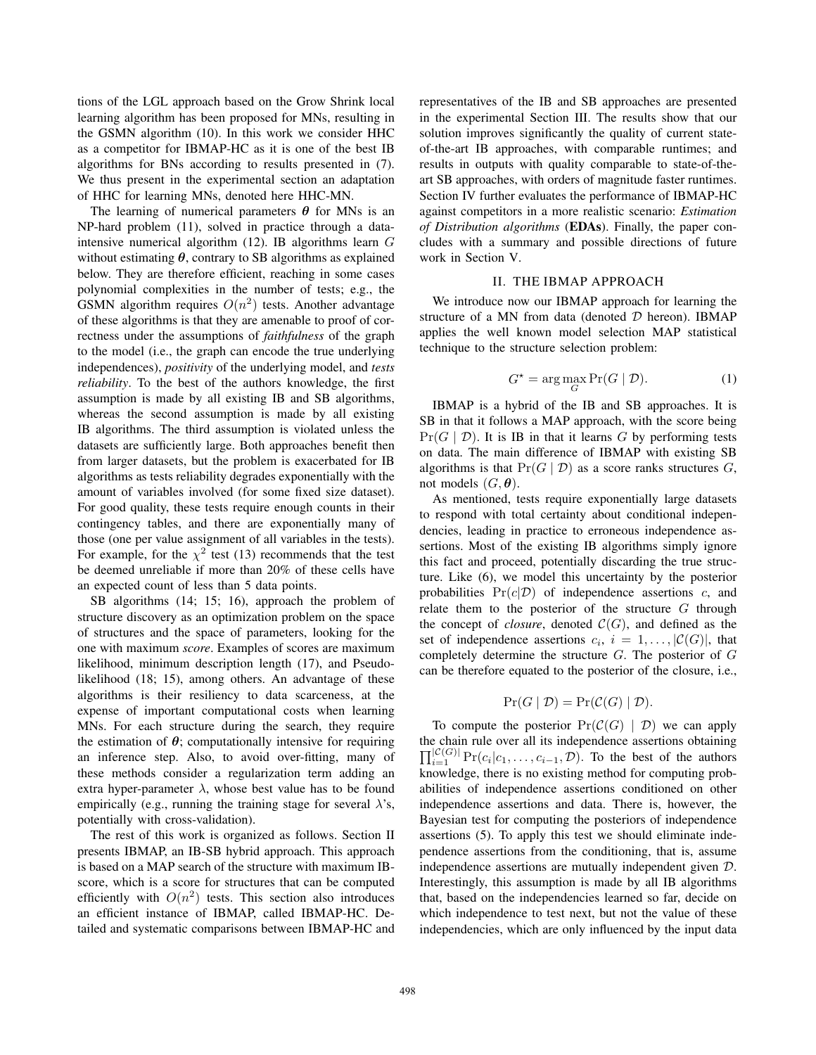tions of the LGL approach based on the Grow Shrink local learning algorithm has been proposed for MNs, resulting in the GSMN algorithm (10). In this work we consider HHC as a competitor for IBMAP-HC as it is one of the best IB algorithms for BNs according to results presented in (7). We thus present in the experimental section an adaptation of HHC for learning MNs, denoted here HHC-MN.

The learning of numerical parameters  $\theta$  for MNs is an NP-hard problem (11), solved in practice through a dataintensive numerical algorithm (12). IB algorithms learn G without estimating  $\theta$ , contrary to SB algorithms as explained below. They are therefore efficient, reaching in some cases polynomial complexities in the number of tests; e.g., the GSMN algorithm requires  $O(n^2)$  tests. Another advantage of these algorithms is that they are amenable to proof of correctness under the assumptions of *faithfulness* of the graph to the model (i.e., the graph can encode the true underlying independences), *positivity* of the underlying model, and *tests reliability*. To the best of the authors knowledge, the first assumption is made by all existing IB and SB algorithms, whereas the second assumption is made by all existing IB algorithms. The third assumption is violated unless the datasets are sufficiently large. Both approaches benefit then from larger datasets, but the problem is exacerbated for IB algorithms as tests reliability degrades exponentially with the amount of variables involved (for some fixed size dataset). For good quality, these tests require enough counts in their contingency tables, and there are exponentially many of those (one per value assignment of all variables in the tests). For example, for the  $\chi^2$  test (13) recommends that the test be deemed unreliable if more than 20% of these cells have an expected count of less than 5 data points.

SB algorithms (14; 15; 16), approach the problem of structure discovery as an optimization problem on the space of structures and the space of parameters, looking for the one with maximum *score*. Examples of scores are maximum likelihood, minimum description length (17), and Pseudolikelihood (18; 15), among others. An advantage of these algorithms is their resiliency to data scarceness, at the expense of important computational costs when learning MNs. For each structure during the search, they require the estimation of  $\theta$ ; computationally intensive for requiring an inference step. Also, to avoid over-fitting, many of these methods consider a regularization term adding an extra hyper-parameter  $\lambda$ , whose best value has to be found empirically (e.g., running the training stage for several  $\lambda$ 's, potentially with cross-validation).

The rest of this work is organized as follows. Section II presents IBMAP, an IB-SB hybrid approach. This approach is based on a MAP search of the structure with maximum IBscore, which is a score for structures that can be computed efficiently with  $O(n^2)$  tests. This section also introduces an efficient instance of IBMAP, called IBMAP-HC. Detailed and systematic comparisons between IBMAP-HC and representatives of the IB and SB approaches are presented in the experimental Section III. The results show that our solution improves significantly the quality of current stateof-the-art IB approaches, with comparable runtimes; and results in outputs with quality comparable to state-of-theart SB approaches, with orders of magnitude faster runtimes. Section IV further evaluates the performance of IBMAP-HC against competitors in a more realistic scenario: *Estimation of Distribution algorithms* (**EDAs**). Finally, the paper concludes with a summary and possible directions of future work in Section V.

## II. THE IBMAP APPROACH

We introduce now our IBMAP approach for learning the structure of a MN from data (denoted  $D$  hereon). IBMAP applies the well known model selection MAP statistical technique to the structure selection problem:

$$
G^* = \arg\max_G \Pr(G \mid \mathcal{D}).\tag{1}
$$

IBMAP is a hybrid of the IB and SB approaches. It is SB in that it follows a MAP approach, with the score being  $Pr(G | D)$ . It is IB in that it learns G by performing tests on data. The main difference of IBMAP with existing SB algorithms is that  $Pr(G | \mathcal{D})$  as a score ranks structures  $G$ , not models  $(G, \theta)$ .

As mentioned, tests require exponentially large datasets to respond with total certainty about conditional independencies, leading in practice to erroneous independence assertions. Most of the existing IB algorithms simply ignore this fact and proceed, potentially discarding the true structure. Like (6), we model this uncertainty by the posterior probabilities  $Pr(c|\mathcal{D})$  of independence assertions c, and relate them to the posterior of the structure  $G$  through the concept of *closure*, denoted  $C(G)$ , and defined as the set of independence assertions  $c_i$ ,  $i = 1, \ldots, |\mathcal{C}(G)|$ , that completely determine the structure  $G$ . The posterior of  $G$ can be therefore equated to the posterior of the closure, i.e.,

$$
\Pr(G | \mathcal{D}) = \Pr(\mathcal{C}(G) | \mathcal{D}).
$$

To compute the posterior  $Pr(C(G) | D)$  we can apply the chain rule over all its independence assertions obtaining  $\prod_{i=1}^{|\mathcal{C}(G)|} \Pr(c_i|c_1,\ldots,c_{i-1},\mathcal{D})$ . To the best of the authors knowledge, there is no existing method for computing probabilities of independence assertions conditioned on other independence assertions and data. There is, however, the Bayesian test for computing the posteriors of independence assertions (5). To apply this test we should eliminate independence assertions from the conditioning, that is, assume independence assertions are mutually independent given D. Interestingly, this assumption is made by all IB algorithms that, based on the independencies learned so far, decide on which independence to test next, but not the value of these independencies, which are only influenced by the input data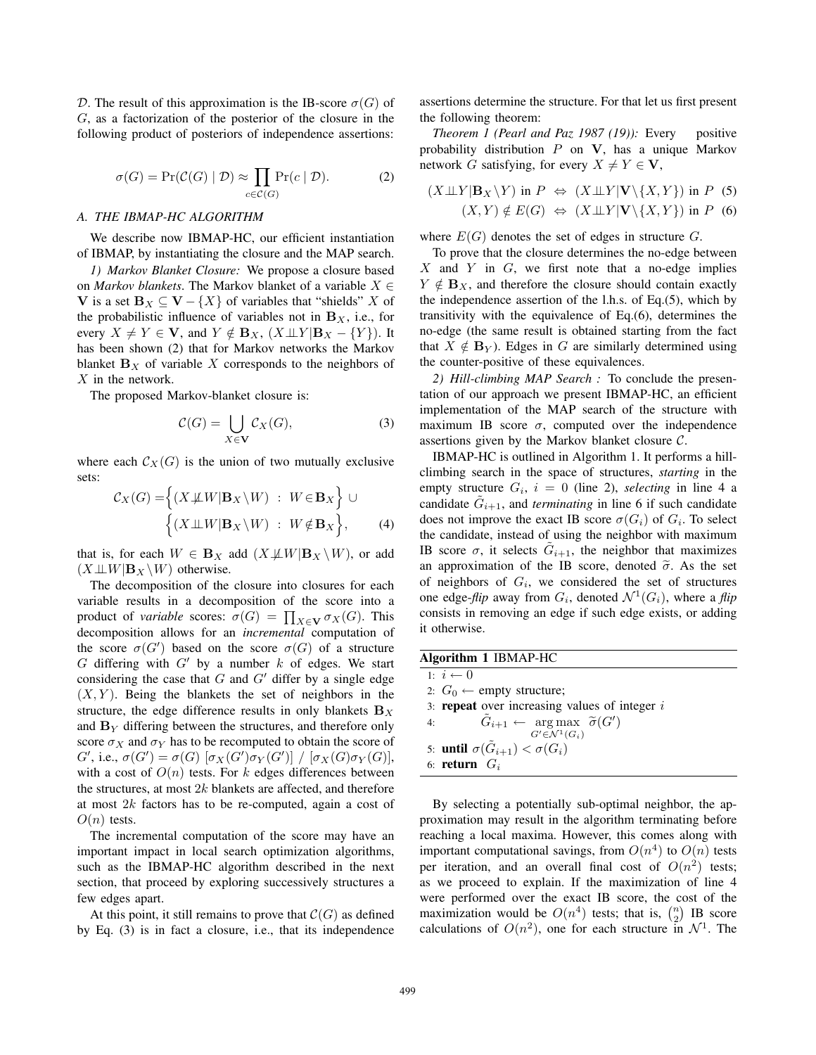D. The result of this approximation is the IB-score  $\sigma(G)$  of G, as a factorization of the posterior of the closure in the following product of posteriors of independence assertions:

$$
\sigma(G) = \Pr(\mathcal{C}(G) \mid \mathcal{D}) \approx \prod_{c \in \mathcal{C}(G)} \Pr(c \mid \mathcal{D}). \tag{2}
$$

## *A. THE IBMAP-HC ALGORITHM*

We describe now IBMAP-HC, our efficient instantiation of IBMAP, by instantiating the closure and the MAP search.

*1) Markov Blanket Closure:* We propose a closure based on *Markov blankets*. The Markov blanket of a variable  $X \in$ **V** is a set **B**<sub>X</sub> ⊆ **V** − {X} of variables that "shields" X of the probabilistic influence of variables not in  $\mathbf{B}_X$ , i.e., for every  $X \neq Y \in V$ , and  $Y \notin B_X$ ,  $(X \perp\!\!\!\perp Y | B_X - \{Y\})$ . It has been shown (2) that for Markov networks the Markov blanket  $\mathbf{B}_X$  of variable X corresponds to the neighbors of  $X$  in the network.

The proposed Markov-blanket closure is:

$$
\mathcal{C}(G) = \bigcup_{X \in \mathbf{V}} \mathcal{C}_X(G),\tag{3}
$$

where each  $C_X(G)$  is the union of two mutually exclusive sets:

$$
\mathcal{C}_X(G) = \left\{ (X \not\perp W | \mathbf{B}_X \setminus W) : W \in \mathbf{B}_X \right\} \cup \left\{ (X \perp W | \mathbf{B}_X \setminus W) : W \notin \mathbf{B}_X \right\},\tag{4}
$$

that is, for each  $W \in \mathbf{B}_X$  add  $(X \not\perp W | \mathbf{B}_X \setminus W)$ , or add  $(X \perp\!\!\!\perp W | \mathbf{B}_X \backslash W)$  otherwise.

The decomposition of the closure into closures for each variable results in a decomposition of the score into a product of *variable* scores:  $\sigma(G) = \prod_{X \in \mathbf{V}} \sigma_X(G)$ . This decomposition allows for an *incremental* computation of decomposition allows for an *incremental* computation of the score  $\sigma(G')$  based on the score  $\sigma(G)$  of a structure  $G$  differing with  $G'$  by a number k of edges. We start G differing with  $G'$  by a number k of edges. We start considering the case that  $G$  and  $G'$  differ by a single edge  $(X, Y)$ . Being the blankets the set of neighbors in the structure, the edge difference results in only blankets  $\mathbf{B}_X$ and  $\mathbf{B}_Y$  differing between the structures, and therefore only score  $\sigma_X$  and  $\sigma_Y$  has to be recomputed to obtain the score of G', i.e.,  $\sigma(G') = \sigma(G) [\sigma_X(G') \sigma_Y(G')] / [\sigma_X(G) \sigma_Y(G)]$ ,<br>with a cost of  $O(n)$  tests. For k edges differences between with a cost of  $O(n)$  tests. For k edges differences between the structures, at most  $2k$  blankets are affected, and therefore at most  $2k$  factors has to be re-computed, again a cost of  $O(n)$  tests.

The incremental computation of the score may have an important impact in local search optimization algorithms, such as the IBMAP-HC algorithm described in the next section, that proceed by exploring successively structures a few edges apart.

At this point, it still remains to prove that  $C(G)$  as defined by Eq. (3) is in fact a closure, i.e., that its independence assertions determine the structure. For that let us first present the following theorem:

*Theorem 1 (Pearl and Paz 1987 (19)):* Every positive probability distribution P on **V**, has a unique Markov network G satisfying, for every  $X \neq Y \in V$ ,

$$
(X \perp\!\!\!\perp Y | \mathbf{B}_X \backslash Y) \text{ in } P \Leftrightarrow (X \perp\!\!\!\perp Y | \mathbf{V} \backslash \{X, Y\}) \text{ in } P \text{ (5)}
$$
  

$$
(X, Y) \notin E(G) \Leftrightarrow (X \perp\!\!\!\perp Y | \mathbf{V} \backslash \{X, Y\}) \text{ in } P \text{ (6)}
$$

where  $E(G)$  denotes the set of edges in structure G.

To prove that the closure determines the no-edge between  $X$  and  $Y$  in  $G$ , we first note that a no-edge implies  $Y \notin \mathbf{B}_X$ , and therefore the closure should contain exactly the independence assertion of the l.h.s. of Eq.(5), which by transitivity with the equivalence of Eq.(6), determines the no-edge (the same result is obtained starting from the fact that  $X \notin \mathbf{B}_Y$ ). Edges in G are similarly determined using the counter-positive of these equivalences.

*2) Hill-climbing MAP Search :* To conclude the presentation of our approach we present IBMAP-HC, an efficient implementation of the MAP search of the structure with maximum IB score  $\sigma$ , computed over the independence assertions given by the Markov blanket closure C.

IBMAP-HC is outlined in Algorithm 1. It performs a hillclimbing search in the space of structures, *starting* in the empty structure  $G_i$ ,  $i = 0$  (line 2), *selecting* in line 4 a candidate  $G_{i+1}$ , and *terminating* in line 6 if such candidate does not improve the exact IB score  $\sigma(G_i)$  of  $G_i$ . To select the candidate, instead of using the neighbor with maximum IB score  $\sigma$ , it selects  $\tilde{G}_{i+1}$ , the neighbor that maximizes an approximation of the IB score, denoted  $\tilde{\sigma}$ . As the set of neighbors of  $G_i$ , we considered the set of structures one edge-*flip* away from  $G_i$ , denoted  $\mathcal{N}^1(G_i)$ , where a *flip* consists in removing an edge if such edge exists, or adding it otherwise.

|  |  |  | Algorithm 1 IBMAP-HC |
|--|--|--|----------------------|
|--|--|--|----------------------|

| $1 \cdot i \leftarrow 0$                                      |
|---------------------------------------------------------------|
| 2: $G_0 \leftarrow$ empty structure;                          |
| 3: <b>repeat</b> over increasing values of integer $i$        |
| $G_{i+1} \leftarrow \arg \max \ \widetilde{\sigma}(G')$<br>4: |
| $G' \in \mathcal{N}^1(G_i)$                                   |
| 5: <b>until</b> $\sigma(\tilde{G}_{i+1}) < \sigma(G_i)$       |
| 6: <b>return</b> $G_i$                                        |

By selecting a potentially sub-optimal neighbor, the approximation may result in the algorithm terminating before reaching a local maxima. However, this comes along with important computational savings, from  $O(n^4)$  to  $O(n)$  tests per iteration, and an overall final cost of  $O(n^2)$  tests; as we proceed to explain. If the maximization of line 4 were performed over the exact IB score, the cost of the maximization would be  $O(n^4)$  tests; that is,  $\binom{n}{2}$  IB score<br>calculations of  $O(n^2)$  one for each structure in  $N^1$ . The calculations of  $O(n^2)$ , one for each structure in  $\mathcal{N}^1$ . The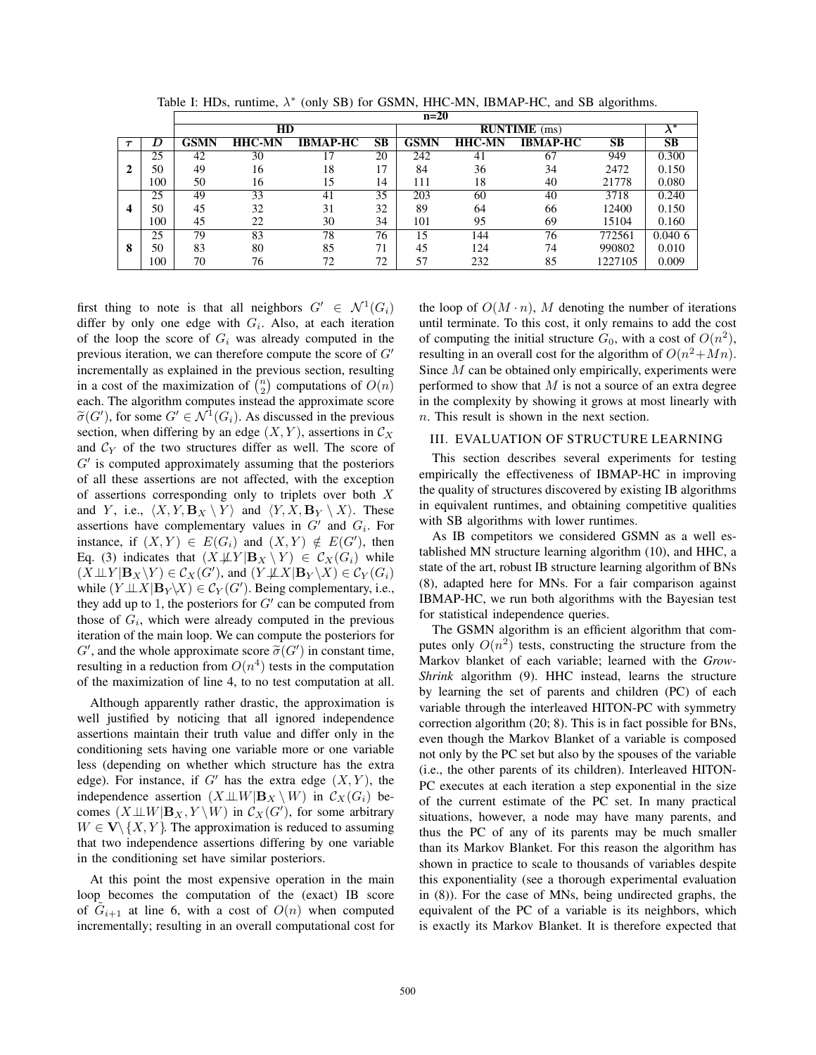|   |     | $n=20$          |               |                 |    |             |                     |                 |         |        |  |
|---|-----|-----------------|---------------|-----------------|----|-------------|---------------------|-----------------|---------|--------|--|
|   |     |                 | $_{\rm HD}$   |                 |    |             | <b>RUNTIME</b> (ms) |                 |         |        |  |
|   |     | GSMN            | <b>HHC-MN</b> | <b>IBMAP-HC</b> | SB | <b>GSMN</b> | <b>HHC-MN</b>       | <b>IBMAP-HC</b> | SB      | SB     |  |
|   | 25  | 42              | 30            |                 | 20 | 242         | 41                  | 67              | 949     | 0.300  |  |
| 2 | 50  | 49              | 16            | 18              | 17 | 84          | 36                  | 34              | 2472    | 0.150  |  |
|   | 100 | 50              | 16            | 15              | 14 | 111         | 18                  | 40              | 21778   | 0.080  |  |
| 4 | 25  | 49              | 33            | 41              | 35 | 203         | 60                  | 40              | 3718    | 0.240  |  |
|   | 50  | 45              | 32            | 31              | 32 | 89          | 64                  | 66              | 12400   | 0.150  |  |
|   | 100 | 45              | 22            | 30              | 34 | 101         | 95                  | 69              | 15104   | 0.160  |  |
|   | 25  | $\overline{79}$ | 83            | 78              | 76 | 15          | 144                 | 76              | 772561  | 0.0406 |  |
| 8 | 50  | 83              | 80            | 85              | 71 | 45          | 124                 | 74              | 990802  | 0.010  |  |
|   | 100 | 70              | 76            | 72              | 72 | 57          | 232                 | 85              | 1227105 | 0.009  |  |

Table I: HDs, runtime,  $\lambda^*$  (only SB) for GSMN, HHC-MN, IBMAP-HC, and SB algorithms.

first thing to note is that all neighbors  $G' \in \mathcal{N}^1(G_i)$ differ by only one edge with  $G_i$ . Also, at each iteration of the loop the score of  $G_i$  was already computed in the previous iteration, we can therefore compute the score of  $G'$ incrementally as explained in the previous section, resulting in a cost of the maximization of  $\binom{n}{2}$  computations of  $O(n)$ <br>each. The algorithm computes instead the approximate score each. The algorithm computes instead the approximate score  $\widetilde{\sigma}(G')$ , for some  $G' \in \mathcal{N}^1(G_i)$ . As discussed in the previous section when differing by an edge  $(X, Y)$  assertions in  $C_X$ section, when differing by an edge  $(X, Y)$ , assertions in  $\mathcal{C}_X$ and  $C_Y$  of the two structures differ as well. The score of  $G'$  is computed approximately assuming that the posteriors of all these assertions are not affected, with the exception of assertions corresponding only to triplets over both X and Y, i.e.,  $\langle X, Y, \mathbf{B}_X \setminus Y \rangle$  and  $\langle Y, X, \mathbf{B}_Y \setminus X \rangle$ . These assertions have complementary values in  $G'$  and  $G_i$ . For instance, if  $(X, Y) \in E(G_i)$  and  $(X, Y) \notin E(G')$ , then<br>Eq. (3) indicates that  $(X \cup V \mid \mathbf{R}_X \setminus Y) \in C_X(G_i)$  while Eq. (3) indicates that  $(X \not\perp Y | B_X \ Y) \in C_X(G_i)$  while  $(X \perp \perp Y | \mathbf{B}_X \backslash Y) \in C_X(G')$ , and  $(Y \perp \perp X | \mathbf{B}_Y \backslash X) \in C_Y(G_i)$ <br>while  $(Y \perp Y | \mathbf{B}_Y \backslash Y) \in C_Y(G')$ . Being complementary i.e. while  $(Y \perp \perp X | B_Y \setminus X) \in C_Y(G')$ . Being complementary, i.e., they add up to 1, the posteriors for  $G'$  can be computed from they add up to 1, the posteriors for  $G'$  can be computed from those of  $G_i$ , which were already computed in the previous iteration of the main loop. We can compute the posteriors for  $G'$ , and the whole approximate score  $\tilde{\sigma}(G')$  in constant time,<br>resulting in a reduction from  $O(n^4)$  tests in the computation resulting in a reduction from  $O(n^4)$  tests in the computation of the maximization of line 4, to no test computation at all.

Although apparently rather drastic, the approximation is well justified by noticing that all ignored independence assertions maintain their truth value and differ only in the conditioning sets having one variable more or one variable less (depending on whether which structure has the extra edge). For instance, if  $G'$  has the extra edge  $(X, Y)$ , the independence assertion  $(X \perp\!\!\!\perp W | \mathbf{B}_X \setminus W)$  in  $C_X(G_i)$  becomes  $(X \perp \!\!\!\perp W | \mathbf{B}_X, Y \setminus W)$  in  $\mathcal{C}_X(G')$ , for some arbitrary  $W \subset \mathbf{V} \setminus Y$ . The approximation is reduced to assuming  $W \in \mathbf{V} \setminus \{X, Y\}$ . The approximation is reduced to assuming that two independence assertions differing by one variable in the conditioning set have similar posteriors.

At this point the most expensive operation in the main loop becomes the computation of the (exact) IB score of  $G_{i+1}$  at line 6, with a cost of  $O(n)$  when computed incrementally; resulting in an overall computational cost for the loop of  $O(M \cdot n)$ , M denoting the number of iterations until terminate. To this cost, it only remains to add the cost of computing the initial structure  $G_0$ , with a cost of  $O(n^2)$ , resulting in an overall cost for the algorithm of  $O(n^2+Mn)$ . Since *M* can be obtained only empirically, experiments were performed to show that  $M$  is not a source of an extra degree in the complexity by showing it grows at most linearly with n. This result is shown in the next section.

# III. EVALUATION OF STRUCTURE LEARNING

This section describes several experiments for testing empirically the effectiveness of IBMAP-HC in improving the quality of structures discovered by existing IB algorithms in equivalent runtimes, and obtaining competitive qualities with SB algorithms with lower runtimes.

As IB competitors we considered GSMN as a well established MN structure learning algorithm (10), and HHC, a state of the art, robust IB structure learning algorithm of BNs (8), adapted here for MNs. For a fair comparison against IBMAP-HC, we run both algorithms with the Bayesian test for statistical independence queries.

The GSMN algorithm is an efficient algorithm that computes only  $O(n^2)$  tests, constructing the structure from the Markov blanket of each variable; learned with the *Grow-Shrink* algorithm (9). HHC instead, learns the structure by learning the set of parents and children (PC) of each variable through the interleaved HITON-PC with symmetry correction algorithm (20; 8). This is in fact possible for BNs, even though the Markov Blanket of a variable is composed not only by the PC set but also by the spouses of the variable (i.e., the other parents of its children). Interleaved HITON-PC executes at each iteration a step exponential in the size of the current estimate of the PC set. In many practical situations, however, a node may have many parents, and thus the PC of any of its parents may be much smaller than its Markov Blanket. For this reason the algorithm has shown in practice to scale to thousands of variables despite this exponentiality (see a thorough experimental evaluation in (8)). For the case of MNs, being undirected graphs, the equivalent of the PC of a variable is its neighbors, which is exactly its Markov Blanket. It is therefore expected that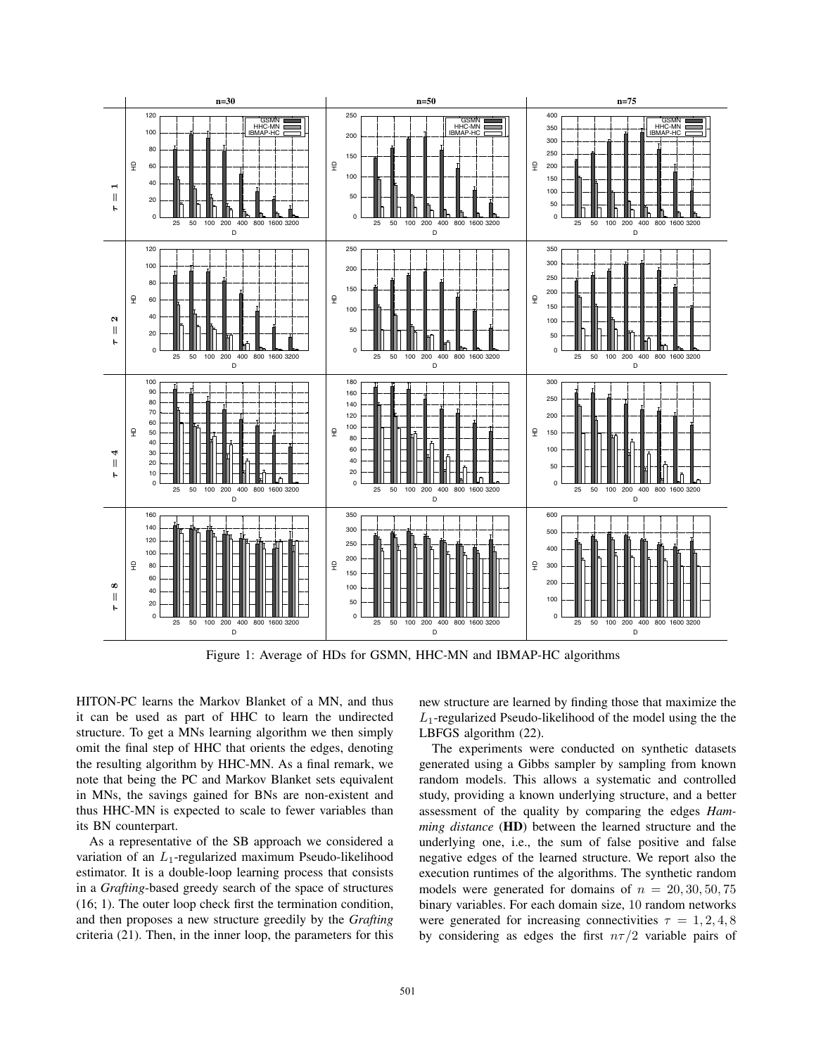

Figure 1: Average of HDs for GSMN, HHC-MN and IBMAP-HC algorithms

HITON-PC learns the Markov Blanket of a MN, and thus it can be used as part of HHC to learn the undirected structure. To get a MNs learning algorithm we then simply omit the final step of HHC that orients the edges, denoting the resulting algorithm by HHC-MN. As a final remark, we note that being the PC and Markov Blanket sets equivalent in MNs, the savings gained for BNs are non-existent and thus HHC-MN is expected to scale to fewer variables than its BN counterpart.

As a representative of the SB approach we considered a variation of an  $L_1$ -regularized maximum Pseudo-likelihood estimator. It is a double-loop learning process that consists in a *Grafting*-based greedy search of the space of structures (16; 1). The outer loop check first the termination condition, and then proposes a new structure greedily by the *Grafting* criteria (21). Then, in the inner loop, the parameters for this new structure are learned by finding those that maximize the  $L_1$ -regularized Pseudo-likelihood of the model using the the LBFGS algorithm (22).

The experiments were conducted on synthetic datasets generated using a Gibbs sampler by sampling from known random models. This allows a systematic and controlled study, providing a known underlying structure, and a better assessment of the quality by comparing the edges *Hamming distance* (**HD**) between the learned structure and the underlying one, i.e., the sum of false positive and false negative edges of the learned structure. We report also the execution runtimes of the algorithms. The synthetic random models were generated for domains of  $n = 20, 30, 50, 75$ binary variables. For each domain size, 10 random networks were generated for increasing connectivities  $\tau = 1, 2, 4, 8$ by considering as edges the first  $n\tau/2$  variable pairs of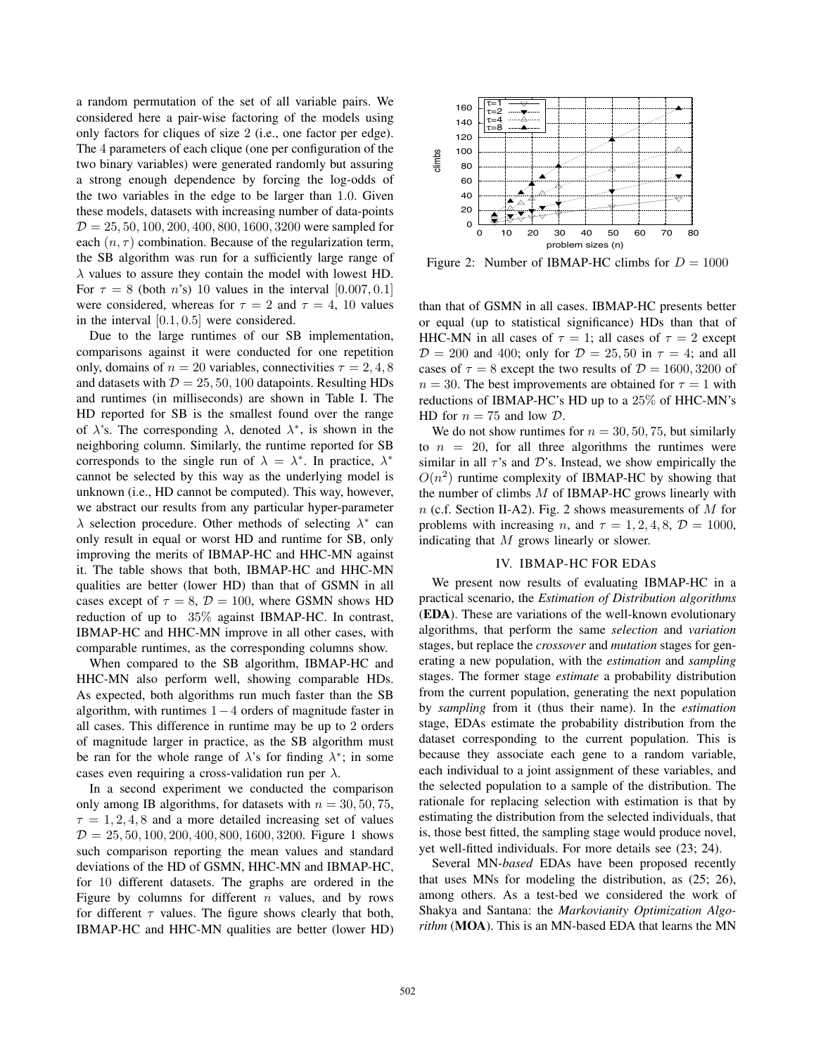a random permutation of the set of all variable pairs. We considered here a pair-wise factoring of the models using only factors for cliques of size 2 (i.e., one factor per edge). The 4 parameters of each clique (one per configuration of the two binary variables) were generated randomly but assuring a strong enough dependence by forcing the log-odds of the two variables in the edge to be larger than 1.0. Given these models, datasets with increasing number of data-points  $D = 25, 50, 100, 200, 400, 800, 1600, 3200$  were sampled for each  $(n, \tau)$  combination. Because of the regularization term, the SB algorithm was run for a sufficiently large range of  $\lambda$  values to assure they contain the model with lowest HD. For  $\tau = 8$  (both *n*'s) 10 values in the interval [0.007, 0.1] were considered, whereas for  $\tau = 2$  and  $\tau = 4$ , 10 values in the interval [0.1, 0.5] were considered.

Due to the large runtimes of our SB implementation, comparisons against it were conducted for one repetition only, domains of  $n = 20$  variables, connectivities  $\tau = 2, 4, 8$ and datasets with  $\mathcal{D} = 25, 50, 100$  datapoints. Resulting HDs and runtimes (in milliseconds) are shown in Table I. The HD reported for SB is the smallest found over the range of  $\lambda$ 's. The corresponding  $\lambda$ , denoted  $\lambda^*$ , is shown in the neighboring column. Similarly, the runtime reported for SB corresponds to the single run of  $\lambda = \lambda^*$ . In practice,  $\lambda^*$ cannot be selected by this way as the underlying model is unknown (i.e., HD cannot be computed). This way, however, we abstract our results from any particular hyper-parameter  $\lambda$  selection procedure. Other methods of selecting  $\lambda^*$  can only result in equal or worst HD and runtime for SB, only improving the merits of IBMAP-HC and HHC-MN against it. The table shows that both, IBMAP-HC and HHC-MN qualities are better (lower HD) than that of GSMN in all cases except of  $\tau = 8$ ,  $\mathcal{D} = 100$ , where GSMN shows HD reduction of up to 35% against IBMAP-HC. In contrast, IBMAP-HC and HHC-MN improve in all other cases, with comparable runtimes, as the corresponding columns show.

When compared to the SB algorithm, IBMAP-HC and HHC-MN also perform well, showing comparable HDs. As expected, both algorithms run much faster than the SB algorithm, with runtimes 1−4 orders of magnitude faster in all cases. This difference in runtime may be up to 2 orders of magnitude larger in practice, as the SB algorithm must be ran for the whole range of  $\lambda$ 's for finding  $\lambda^*$ ; in some cases even requiring a cross-validation run per  $\lambda$ .

In a second experiment we conducted the comparison only among IB algorithms, for datasets with  $n = 30, 50, 75$ ,  $\tau = 1, 2, 4, 8$  and a more detailed increasing set of values  $D = 25, 50, 100, 200, 400, 800, 1600, 3200$ . Figure 1 shows such comparison reporting the mean values and standard deviations of the HD of GSMN, HHC-MN and IBMAP-HC, for 10 different datasets. The graphs are ordered in the Figure by columns for different  $n$  values, and by rows for different  $\tau$  values. The figure shows clearly that both, IBMAP-HC and HHC-MN qualities are better (lower HD)



Figure 2: Number of IBMAP-HC climbs for  $D = 1000$ 

than that of GSMN in all cases. IBMAP-HC presents better or equal (up to statistical significance) HDs than that of HHC-MN in all cases of  $\tau = 1$ ; all cases of  $\tau = 2$  except  $\mathcal{D} = 200$  and 400; only for  $\mathcal{D} = 25, 50$  in  $\tau = 4$ ; and all cases of  $\tau = 8$  except the two results of  $\mathcal{D} = 1600, 3200$  of  $n = 30$ . The best improvements are obtained for  $\tau = 1$  with reductions of IBMAP-HC's HD up to a 25% of HHC-MN's HD for  $n = 75$  and low  $\mathcal{D}$ .

We do not show runtimes for  $n = 30, 50, 75$ , but similarly to  $n = 20$ , for all three algorithms the runtimes were similar in all  $\tau$ 's and  $\mathcal{D}$ 's. Instead, we show empirically the  $O(n^2)$  runtime complexity of IBMAP-HC by showing that the number of climbs  $M$  of IBMAP-HC grows linearly with n (c.f. Section II-A2). Fig. 2 shows measurements of M for problems with increasing *n*, and  $\tau = 1, 2, 4, 8$ ,  $\mathcal{D} = 1000$ , indicating that M grows linearly or slower.

## IV. IBMAP-HC FOR EDAS

We present now results of evaluating IBMAP-HC in a practical scenario, the *Estimation of Distribution algorithms* (**EDA**). These are variations of the well-known evolutionary algorithms, that perform the same *selection* and *variation* stages, but replace the *crossover* and *mutation* stages for generating a new population, with the *estimation* and *sampling* stages. The former stage *estimate* a probability distribution from the current population, generating the next population by *sampling* from it (thus their name). In the *estimation* stage, EDAs estimate the probability distribution from the dataset corresponding to the current population. This is because they associate each gene to a random variable, each individual to a joint assignment of these variables, and the selected population to a sample of the distribution. The rationale for replacing selection with estimation is that by estimating the distribution from the selected individuals, that is, those best fitted, the sampling stage would produce novel, yet well-fitted individuals. For more details see (23; 24).

Several MN-*based* EDAs have been proposed recently that uses MNs for modeling the distribution, as (25; 26), among others. As a test-bed we considered the work of Shakya and Santana: the *Markovianity Optimization Algorithm* (**MOA**). This is an MN-based EDA that learns the MN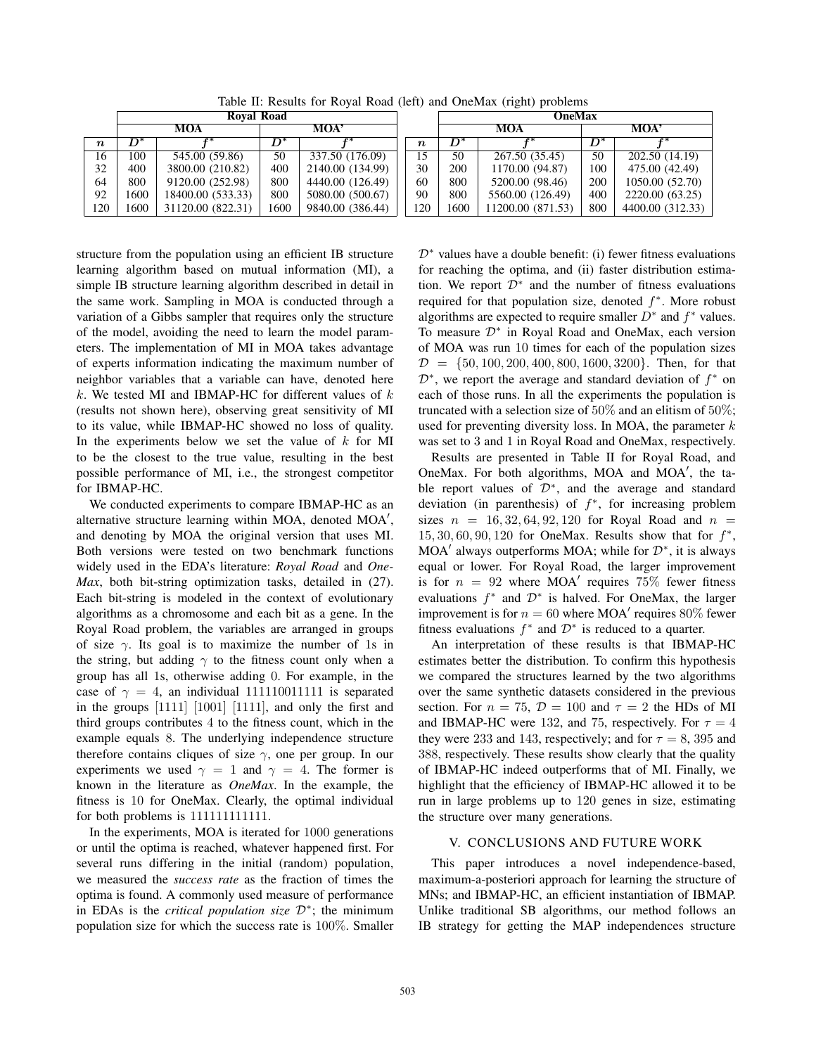Table II: Results for Royal Road (left) and OneMax (right) problems

|                  | <b>Royal Road</b> |                   |      |                  |                  | <b>OneMax</b> |                   |      |                  |
|------------------|-------------------|-------------------|------|------------------|------------------|---------------|-------------------|------|------------------|
|                  |                   | <b>MOA</b>        | МОА' |                  |                  | <b>MOA</b>    |                   | MOA' |                  |
| $\boldsymbol{n}$ | D*                | r*                |      |                  | $\boldsymbol{n}$ | D*            |                   |      |                  |
| 16               | 100               | 545.00 (59.86)    | 50   | 337.50 (176.09)  | 15               | 50            | 267.50 (35.45)    | 50   | 202.50 (14.19)   |
| 32               | 400               | 3800.00 (210.82)  | 400  | 2140.00 (134.99) | 30               | 200           | 1170.00 (94.87)   | 100  | 475.00 (42.49)   |
| 64               | 800               | 9120.00 (252.98)  | 800  | 4440.00 (126.49) | 60               | 800           | 5200.00 (98.46)   | 200  | 1050.00 (52.70)  |
| 92               | 1600              | 18400.00 (533.33) | 800  | 5080.00 (500.67) | 90               | 800           | 5560.00 (126.49)  | 400  | 2220.00 (63.25)  |
| 120              | 1600              | 31120.00 (822.31) | 1600 | 9840.00 (386.44) | 120              | 1600          | 11200.00 (871.53) | 800  | 4400.00 (312.33) |

structure from the population using an efficient IB structure learning algorithm based on mutual information (MI), a simple IB structure learning algorithm described in detail in the same work. Sampling in MOA is conducted through a variation of a Gibbs sampler that requires only the structure of the model, avoiding the need to learn the model parameters. The implementation of MI in MOA takes advantage of experts information indicating the maximum number of neighbor variables that a variable can have, denoted here  $k$ . We tested MI and IBMAP-HC for different values of  $k$ (results not shown here), observing great sensitivity of MI to its value, while IBMAP-HC showed no loss of quality. In the experiments below we set the value of  $k$  for MI to be the closest to the true value, resulting in the best possible performance of MI, i.e., the strongest competitor for IBMAP-HC.

We conducted experiments to compare IBMAP-HC as an alternative structure learning within MOA, denoted MOA , and denoting by MOA the original version that uses MI. Both versions were tested on two benchmark functions widely used in the EDA's literature: *Royal Road* and *One-Max*, both bit-string optimization tasks, detailed in (27). Each bit-string is modeled in the context of evolutionary algorithms as a chromosome and each bit as a gene. In the Royal Road problem, the variables are arranged in groups of size  $\gamma$ . Its goal is to maximize the number of 1s in the string, but adding  $\gamma$  to the fitness count only when a group has all 1s, otherwise adding 0. For example, in the case of  $\gamma = 4$ , an individual 111110011111 is separated in the groups [1111] [1001] [1111], and only the first and third groups contributes 4 to the fitness count, which in the example equals 8. The underlying independence structure therefore contains cliques of size  $\gamma$ , one per group. In our experiments we used  $\gamma = 1$  and  $\gamma = 4$ . The former is known in the literature as *OneMax*. In the example, the fitness is 10 for OneMax. Clearly, the optimal individual for both problems is 111111111111.

In the experiments, MOA is iterated for 1000 generations or until the optima is reached, whatever happened first. For several runs differing in the initial (random) population, we measured the *success rate* as the fraction of times the optima is found. A commonly used measure of performance in EDAs is the *critical population size* D∗; the minimum population size for which the success rate is 100%. Smaller  $\mathcal{D}^*$  values have a double benefit: (i) fewer fitness evaluations for reaching the optima, and (ii) faster distribution estimation. We report  $\mathcal{D}^*$  and the number of fitness evaluations required for that population size, denoted  $f^*$ . More robust algorithms are expected to require smaller  $D^*$  and  $f^*$  values. To measure  $\mathcal{D}^*$  in Royal Road and OneMax, each version of MOA was run 10 times for each of the population sizes  $D = \{50, 100, 200, 400, 800, 1600, 3200\}$ . Then, for that  $\mathcal{D}^*$ , we report the average and standard deviation of  $f^*$  on each of those runs. In all the experiments the population is truncated with a selection size of  $50\%$  and an elitism of  $50\%$ ; used for preventing diversity loss. In MOA, the parameter  $k$ was set to 3 and 1 in Royal Road and OneMax, respectively.

Results are presented in Table II for Royal Road, and OneMax. For both algorithms, MOA and MOA , the table report values of  $\mathcal{D}^*$ , and the average and standard deviation (in parenthesis) of  $f^*$ , for increasing problem sizes  $n = 16, 32, 64, 92, 120$  for Royal Road and  $n =$  $15, 30, 60, 90, 120$  for OneMax. Results show that for  $f^*$ , MOA' always outperforms MOA; while for  $\mathcal{D}^*$ , it is always equal or lower. For Royal Road, the larger improvement is for  $n = 92$  where MOA' requires 75% fewer fitness evaluations  $f^*$  and  $\mathcal{D}^*$  is halved. For OneMax, the larger improvement is for  $n = 60$  where MOA' requires 80% fewer fitness evaluations  $f^*$  and  $\mathcal{D}^*$  is reduced to a quarter.

An interpretation of these results is that IBMAP-HC estimates better the distribution. To confirm this hypothesis we compared the structures learned by the two algorithms over the same synthetic datasets considered in the previous section. For  $n = 75$ ,  $D = 100$  and  $\tau = 2$  the HDs of MI and IBMAP-HC were 132, and 75, respectively. For  $\tau = 4$ they were 233 and 143, respectively; and for  $\tau = 8$ , 395 and 388, respectively. These results show clearly that the quality of IBMAP-HC indeed outperforms that of MI. Finally, we highlight that the efficiency of IBMAP-HC allowed it to be run in large problems up to 120 genes in size, estimating the structure over many generations.

# V. CONCLUSIONS AND FUTURE WORK

This paper introduces a novel independence-based, maximum-a-posteriori approach for learning the structure of MNs; and IBMAP-HC, an efficient instantiation of IBMAP. Unlike traditional SB algorithms, our method follows an IB strategy for getting the MAP independences structure